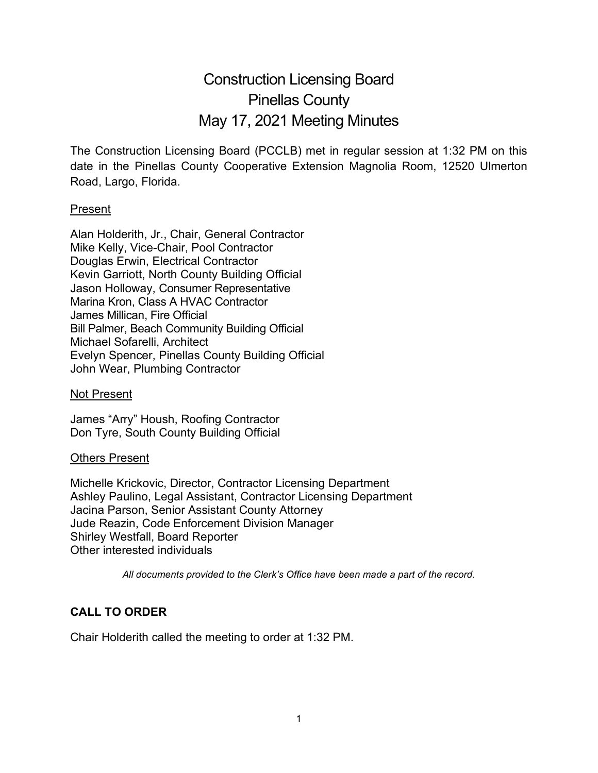# Construction Licensing Board Pinellas County May 17, 2021 Meeting Minutes

The Construction Licensing Board (PCCLB) met in regular session at 1:32 PM on this date in the Pinellas County Cooperative Extension Magnolia Room, 12520 Ulmerton Road, Largo, Florida.

#### Present

Alan Holderith, Jr., Chair, General Contractor Mike Kelly, Vice-Chair, Pool Contractor Douglas Erwin, Electrical Contractor Kevin Garriott, North County Building Official Jason Holloway, Consumer Representative Marina Kron, Class A HVAC Contractor James Millican, Fire Official Bill Palmer, Beach Community Building Official Michael Sofarelli, Architect Evelyn Spencer, Pinellas County Building Official John Wear, Plumbing Contractor

#### Not Present

James "Arry" Housh, Roofing Contractor Don Tyre, South County Building Official

#### Others Present

Michelle Krickovic, Director, Contractor Licensing Department Ashley Paulino, Legal Assistant, Contractor Licensing Department Jacina Parson, Senior Assistant County Attorney Jude Reazin, Code Enforcement Division Manager Shirley Westfall, Board Reporter Other interested individuals

*All documents provided to the Clerk's Office have been made a part of the record.*

# **CALL TO ORDER**

Chair Holderith called the meeting to order at 1:32 PM.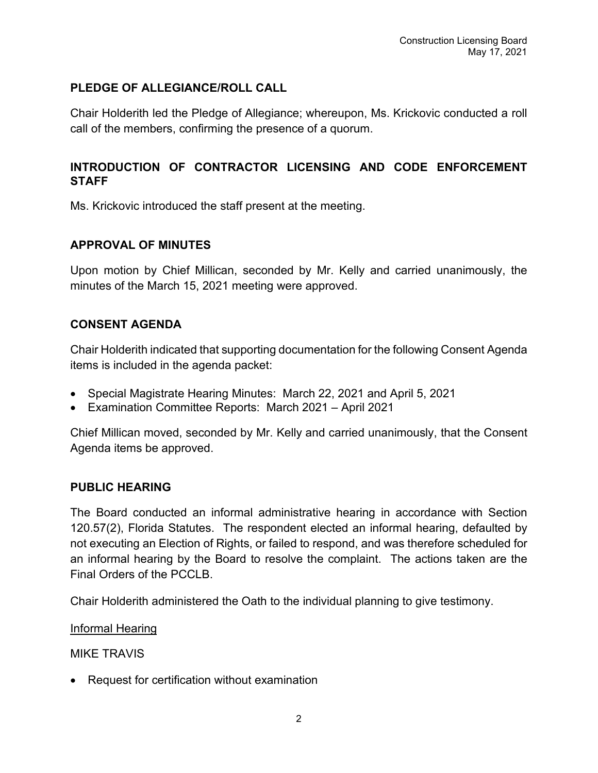## **PLEDGE OF ALLEGIANCE/ROLL CALL**

Chair Holderith led the Pledge of Allegiance; whereupon, Ms. Krickovic conducted a roll call of the members, confirming the presence of a quorum.

## **INTRODUCTION OF CONTRACTOR LICENSING AND CODE ENFORCEMENT STAFF**

Ms. Krickovic introduced the staff present at the meeting.

## **APPROVAL OF MINUTES**

Upon motion by Chief Millican, seconded by Mr. Kelly and carried unanimously, the minutes of the March 15, 2021 meeting were approved.

## **CONSENT AGENDA**

Chair Holderith indicated that supporting documentation for the following Consent Agenda items is included in the agenda packet:

- Special Magistrate Hearing Minutes: March 22, 2021 and April 5, 2021
- Examination Committee Reports: March 2021 April 2021

Chief Millican moved, seconded by Mr. Kelly and carried unanimously, that the Consent Agenda items be approved.

#### **PUBLIC HEARING**

The Board conducted an informal administrative hearing in accordance with Section 120.57(2), Florida Statutes. The respondent elected an informal hearing, defaulted by not executing an Election of Rights, or failed to respond, and was therefore scheduled for an informal hearing by the Board to resolve the complaint. The actions taken are the Final Orders of the PCCLB.

Chair Holderith administered the Oath to the individual planning to give testimony.

Informal Hearing

MIKE TRAVIS

• Request for certification without examination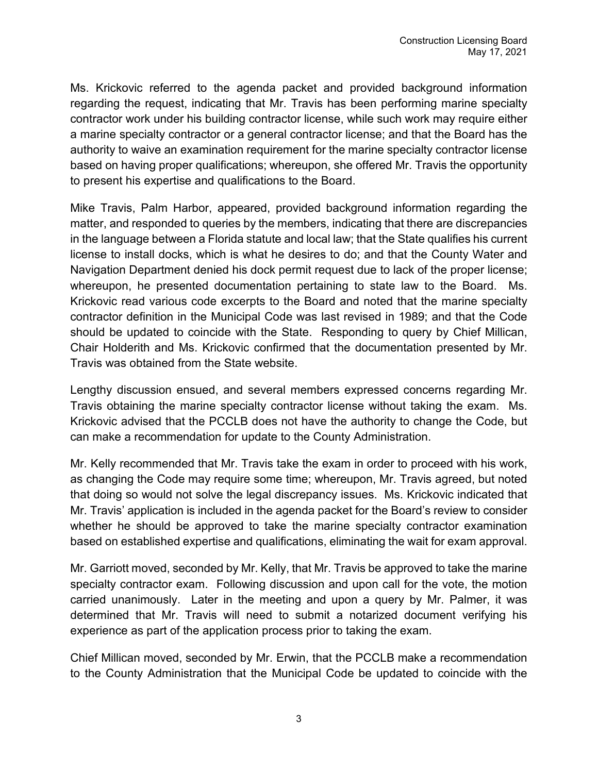Ms. Krickovic referred to the agenda packet and provided background information regarding the request, indicating that Mr. Travis has been performing marine specialty contractor work under his building contractor license, while such work may require either a marine specialty contractor or a general contractor license; and that the Board has the authority to waive an examination requirement for the marine specialty contractor license based on having proper qualifications; whereupon, she offered Mr. Travis the opportunity to present his expertise and qualifications to the Board.

Mike Travis, Palm Harbor, appeared, provided background information regarding the matter, and responded to queries by the members, indicating that there are discrepancies in the language between a Florida statute and local law; that the State qualifies his current license to install docks, which is what he desires to do; and that the County Water and Navigation Department denied his dock permit request due to lack of the proper license; whereupon, he presented documentation pertaining to state law to the Board. Ms. Krickovic read various code excerpts to the Board and noted that the marine specialty contractor definition in the Municipal Code was last revised in 1989; and that the Code should be updated to coincide with the State. Responding to query by Chief Millican, Chair Holderith and Ms. Krickovic confirmed that the documentation presented by Mr. Travis was obtained from the State website.

Lengthy discussion ensued, and several members expressed concerns regarding Mr. Travis obtaining the marine specialty contractor license without taking the exam. Ms. Krickovic advised that the PCCLB does not have the authority to change the Code, but can make a recommendation for update to the County Administration.

Mr. Kelly recommended that Mr. Travis take the exam in order to proceed with his work, as changing the Code may require some time; whereupon, Mr. Travis agreed, but noted that doing so would not solve the legal discrepancy issues. Ms. Krickovic indicated that Mr. Travis' application is included in the agenda packet for the Board's review to consider whether he should be approved to take the marine specialty contractor examination based on established expertise and qualifications, eliminating the wait for exam approval.

Mr. Garriott moved, seconded by Mr. Kelly, that Mr. Travis be approved to take the marine specialty contractor exam. Following discussion and upon call for the vote, the motion carried unanimously. Later in the meeting and upon a query by Mr. Palmer, it was determined that Mr. Travis will need to submit a notarized document verifying his experience as part of the application process prior to taking the exam.

Chief Millican moved, seconded by Mr. Erwin, that the PCCLB make a recommendation to the County Administration that the Municipal Code be updated to coincide with the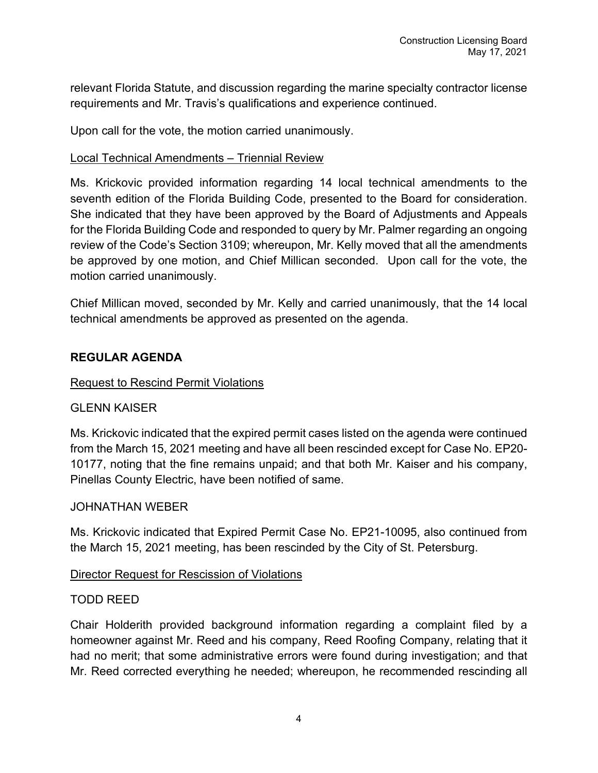relevant Florida Statute, and discussion regarding the marine specialty contractor license requirements and Mr. Travis's qualifications and experience continued.

Upon call for the vote, the motion carried unanimously.

## Local Technical Amendments – Triennial Review

Ms. Krickovic provided information regarding 14 local technical amendments to the seventh edition of the Florida Building Code, presented to the Board for consideration. She indicated that they have been approved by the Board of Adjustments and Appeals for the Florida Building Code and responded to query by Mr. Palmer regarding an ongoing review of the Code's Section 3109; whereupon, Mr. Kelly moved that all the amendments be approved by one motion, and Chief Millican seconded. Upon call for the vote, the motion carried unanimously.

Chief Millican moved, seconded by Mr. Kelly and carried unanimously, that the 14 local technical amendments be approved as presented on the agenda.

## **REGULAR AGENDA**

## Request to Rescind Permit Violations

## GLENN KAISER

Ms. Krickovic indicated that the expired permit cases listed on the agenda were continued from the March 15, 2021 meeting and have all been rescinded except for Case No. EP20- 10177, noting that the fine remains unpaid; and that both Mr. Kaiser and his company, Pinellas County Electric, have been notified of same.

#### JOHNATHAN WEBER

Ms. Krickovic indicated that Expired Permit Case No. EP21-10095, also continued from the March 15, 2021 meeting, has been rescinded by the City of St. Petersburg.

#### Director Request for Rescission of Violations

#### TODD REED

Chair Holderith provided background information regarding a complaint filed by a homeowner against Mr. Reed and his company, Reed Roofing Company, relating that it had no merit; that some administrative errors were found during investigation; and that Mr. Reed corrected everything he needed; whereupon, he recommended rescinding all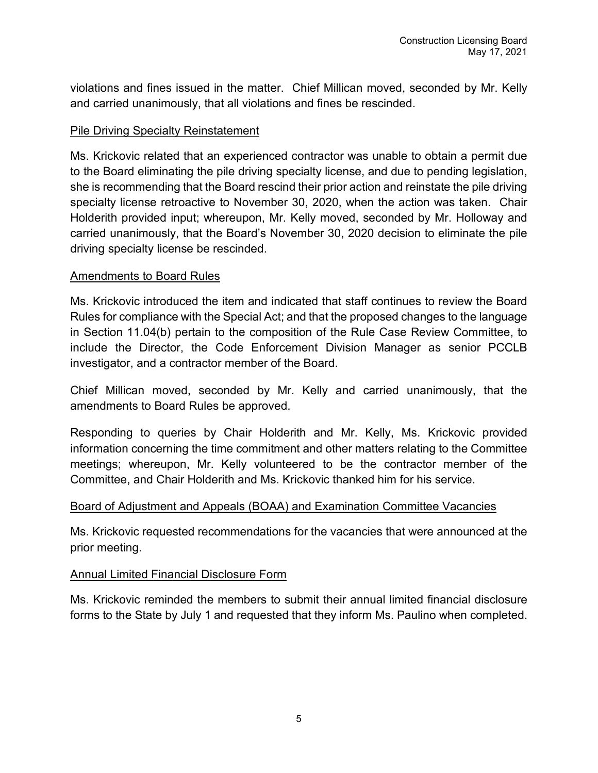violations and fines issued in the matter. Chief Millican moved, seconded by Mr. Kelly and carried unanimously, that all violations and fines be rescinded.

#### Pile Driving Specialty Reinstatement

Ms. Krickovic related that an experienced contractor was unable to obtain a permit due to the Board eliminating the pile driving specialty license, and due to pending legislation, she is recommending that the Board rescind their prior action and reinstate the pile driving specialty license retroactive to November 30, 2020, when the action was taken. Chair Holderith provided input; whereupon, Mr. Kelly moved, seconded by Mr. Holloway and carried unanimously, that the Board's November 30, 2020 decision to eliminate the pile driving specialty license be rescinded.

#### Amendments to Board Rules

Ms. Krickovic introduced the item and indicated that staff continues to review the Board Rules for compliance with the Special Act; and that the proposed changes to the language in Section 11.04(b) pertain to the composition of the Rule Case Review Committee, to include the Director, the Code Enforcement Division Manager as senior PCCLB investigator, and a contractor member of the Board.

Chief Millican moved, seconded by Mr. Kelly and carried unanimously, that the amendments to Board Rules be approved.

Responding to queries by Chair Holderith and Mr. Kelly, Ms. Krickovic provided information concerning the time commitment and other matters relating to the Committee meetings; whereupon, Mr. Kelly volunteered to be the contractor member of the Committee, and Chair Holderith and Ms. Krickovic thanked him for his service.

#### Board of Adjustment and Appeals (BOAA) and Examination Committee Vacancies

Ms. Krickovic requested recommendations for the vacancies that were announced at the prior meeting.

#### Annual Limited Financial Disclosure Form

Ms. Krickovic reminded the members to submit their annual limited financial disclosure forms to the State by July 1 and requested that they inform Ms. Paulino when completed.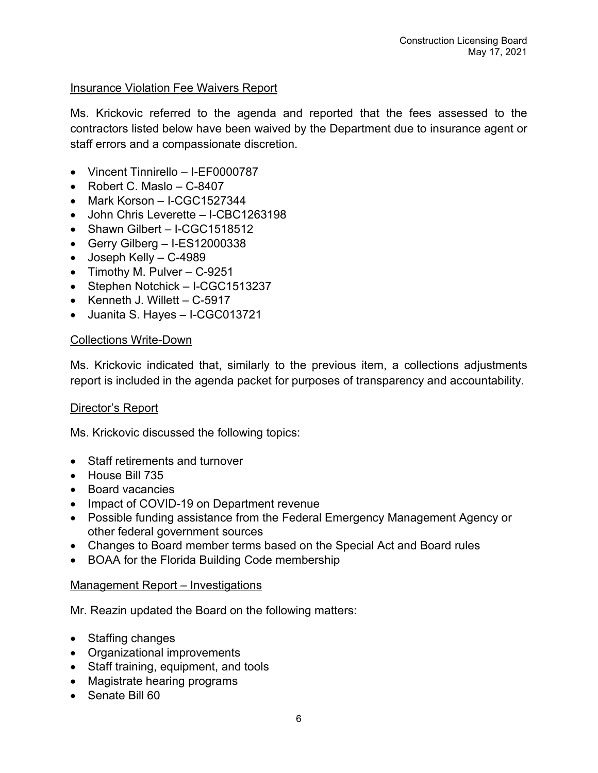#### Insurance Violation Fee Waivers Report

Ms. Krickovic referred to the agenda and reported that the fees assessed to the contractors listed below have been waived by the Department due to insurance agent or staff errors and a compassionate discretion.

- Vincent Tinnirello I-EF0000787
- Robert C. Maslo C-8407
- Mark Korson I-CGC1527344
- John Chris Leverette I-CBC1263198
- Shawn Gilbert I-CGC1518512
- Gerry Gilberg I-ES12000338
- Joseph Kelly C-4989
- Timothy M. Pulver C-9251
- Stephen Notchick I-CGC1513237
- Kenneth J. Willett C-5917
- Juanita S. Hayes I-CGC013721

#### Collections Write-Down

Ms. Krickovic indicated that, similarly to the previous item, a collections adjustments report is included in the agenda packet for purposes of transparency and accountability.

#### Director's Report

Ms. Krickovic discussed the following topics:

- Staff retirements and turnover
- House Bill 735
- Board vacancies
- Impact of COVID-19 on Department revenue
- Possible funding assistance from the Federal Emergency Management Agency or other federal government sources
- Changes to Board member terms based on the Special Act and Board rules
- BOAA for the Florida Building Code membership

#### Management Report – Investigations

Mr. Reazin updated the Board on the following matters:

- Staffing changes
- Organizational improvements
- Staff training, equipment, and tools
- Magistrate hearing programs
- Senate Bill 60